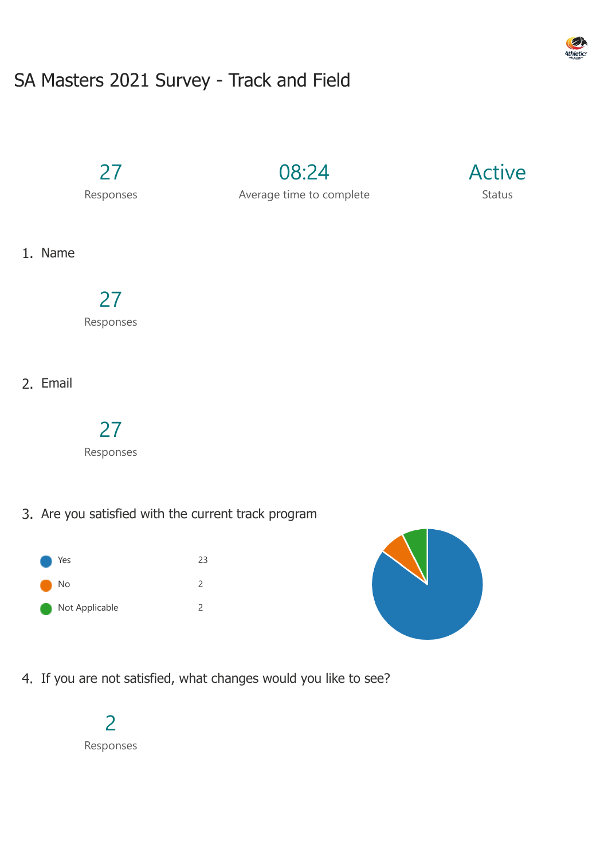# SA Masters 2021 Survey - Track and Field

27

Responses

08:24 Average time to complete



1. Name

## 27

Responses

2. Email

### 27

Responses

3. Are you satisfied with the current track program





4. If you are not satisfied, what changes would you like to see?



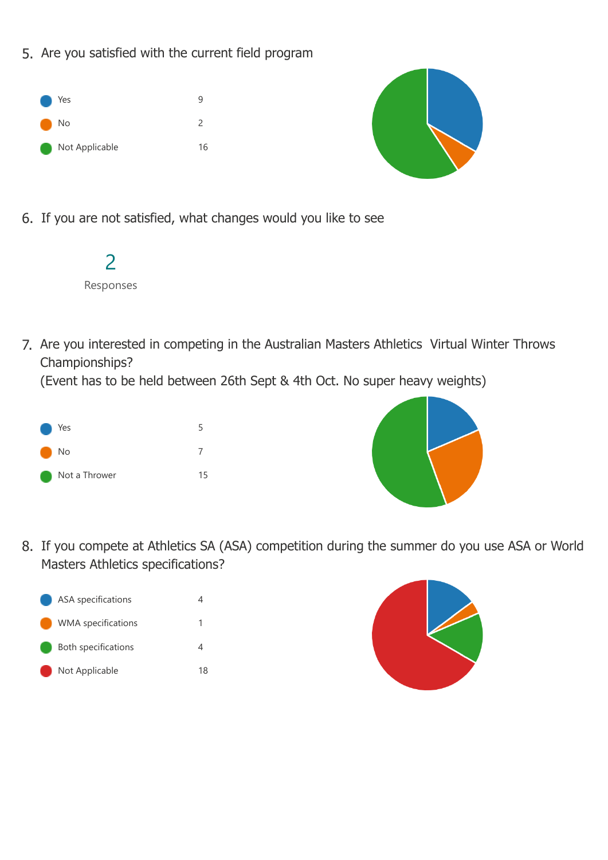5. Are you satisfied with the current field program





6. If you are not satisfied, what changes would you like to see



7. Are you interested in competing in the Australian Masters Athletics Virtual Winter Throws Championships?

(Event has to be held between 26th Sept & 4th Oct. No super heavy weights)





8. If you compete at Athletics SA (ASA) competition during the summer do you use ASA or World Masters Athletics specifications?



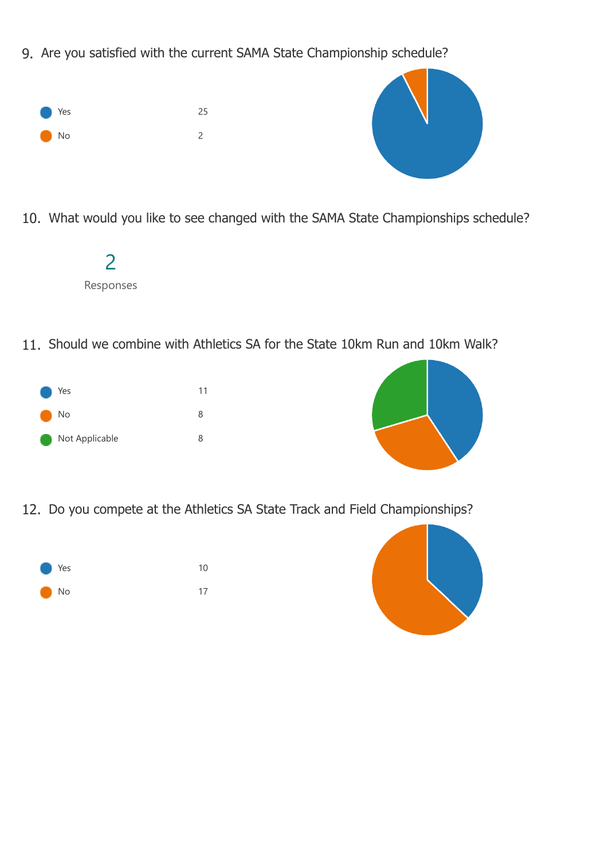9. Are you satisfied with the current SAMA State Championship schedule?





10. What would you like to see changed with the SAMA State Championships schedule?

| Responses |  |
|-----------|--|

11. Should we combine with Athletics SA for the State 10km Run and 10km Walk?





12. Do you compete at the Athletics SA State Track and Field Championships?



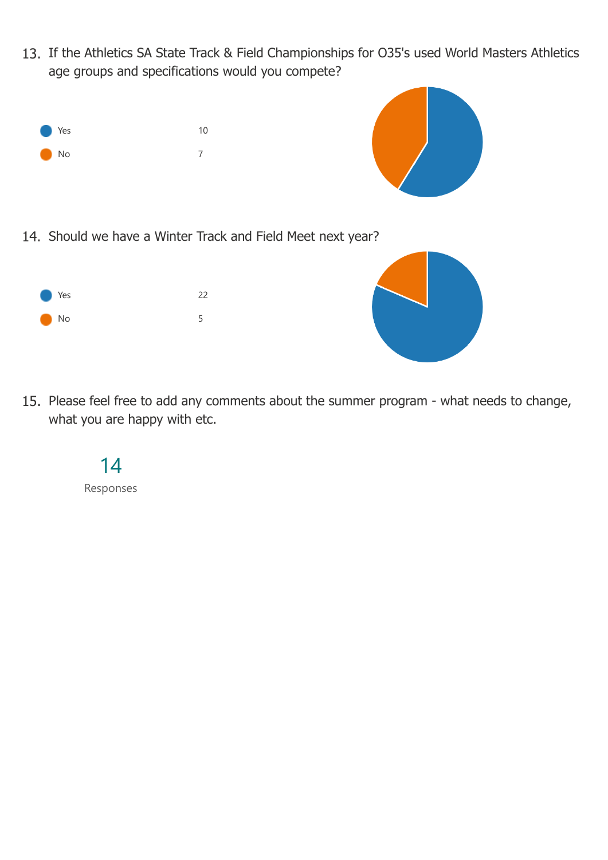13. If the Athletics SA State Track & Field Championships for O35's used World Masters Athletics age groups and specifications would you compete?





14. Should we have a Winter Track and Field Meet next year?





15. Please feel free to add any comments about the summer program - what needs to change, what you are happy with etc.

#### 14

Responses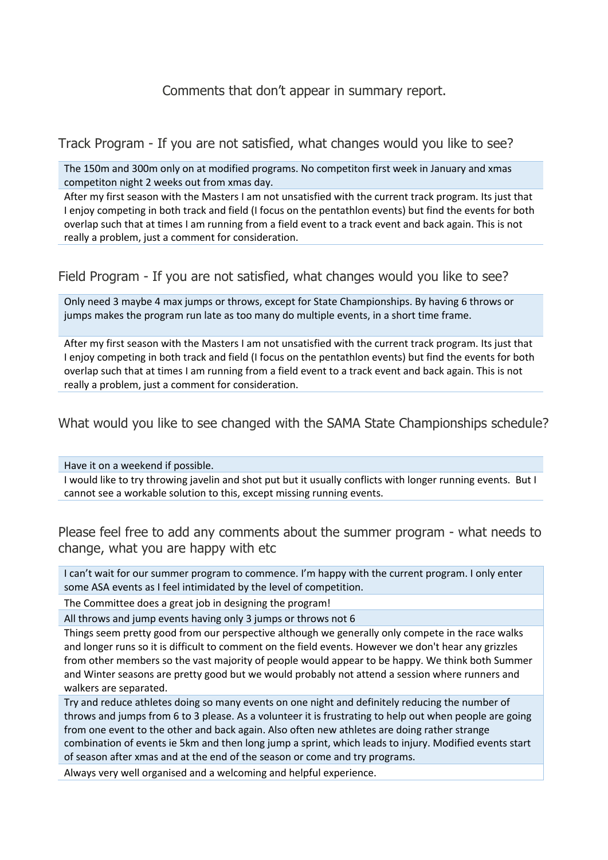#### Comments that don't appear in summary report.

Track Program - If you are not satisfied, what changes would you like to see?

The 150m and 300m only on at modified programs. No competiton first week in January and xmas competiton night 2 weeks out from xmas day.

After my first season with the Masters I am not unsatisfied with the current track program. Its just that I enjoy competing in both track and field (I focus on the pentathlon events) but find the events for both overlap such that at times I am running from a field event to a track event and back again. This is not really a problem, just a comment for consideration.

Field Program - If you are not satisfied, what changes would you like to see?

Only need 3 maybe 4 max jumps or throws, except for State Championships. By having 6 throws or jumps makes the program run late as too many do multiple events, in a short time frame.

After my first season with the Masters I am not unsatisfied with the current track program. Its just that I enjoy competing in both track and field (I focus on the pentathlon events) but find the events for both overlap such that at times I am running from a field event to a track event and back again. This is not really a problem, just a comment for consideration.

What would you like to see changed with the SAMA State Championships schedule?

Have it on a weekend if possible.

I would like to try throwing javelin and shot put but it usually conflicts with longer running events. But I cannot see a workable solution to this, except missing running events.

Please feel free to add any comments about the summer program - what needs to change, what you are happy with etc

I can't wait for our summer program to commence. I'm happy with the current program. I only enter some ASA events as I feel intimidated by the level of competition.

The Committee does a great job in designing the program!

All throws and jump events having only 3 jumps or throws not 6

Things seem pretty good from our perspective although we generally only compete in the race walks and longer runs so it is difficult to comment on the field events. However we don't hear any grizzles from other members so the vast majority of people would appear to be happy. We think both Summer and Winter seasons are pretty good but we would probably not attend a session where runners and walkers are separated.

Try and reduce athletes doing so many events on one night and definitely reducing the number of throws and jumps from 6 to 3 please. As a volunteer it is frustrating to help out when people are going from one event to the other and back again. Also often new athletes are doing rather strange combination of events ie 5km and then long jump a sprint, which leads to injury. Modified events start of season after xmas and at the end of the season or come and try programs.

Always very well organised and a welcoming and helpful experience.